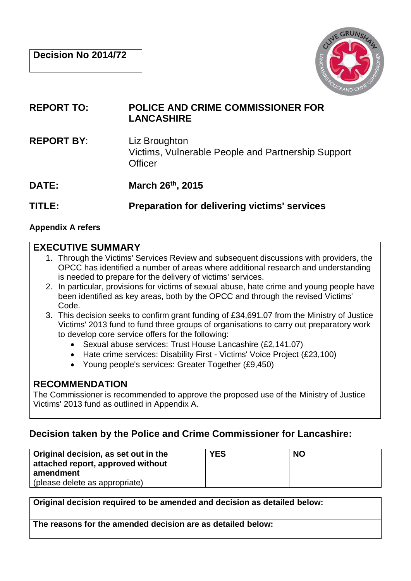

- **REPORT TO: POLICE AND CRIME COMMISSIONER FOR LANCASHIRE**
- **REPORT BY**: Liz Broughton Victims, Vulnerable People and Partnership Support **Officer**
- **DATE: March 26th, 2015**

**TITLE: Preparation for delivering victims' services**

#### **Appendix A refers**

# **EXECUTIVE SUMMARY**

- 1. Through the Victims' Services Review and subsequent discussions with providers, the OPCC has identified a number of areas where additional research and understanding is needed to prepare for the delivery of victims' services.
- 2. In particular, provisions for victims of sexual abuse, hate crime and young people have been identified as key areas, both by the OPCC and through the revised Victims' Code.
- 3. This decision seeks to confirm grant funding of £34,691.07 from the Ministry of Justice Victims' 2013 fund to fund three groups of organisations to carry out preparatory work to develop core service offers for the following:
	- Sexual abuse services: Trust House Lancashire (£2,141.07)
	- Hate crime services: Disability First Victims' Voice Project (£23,100)
	- Young people's services: Greater Together (£9,450)

# **RECOMMENDATION**

The Commissioner is recommended to approve the proposed use of the Ministry of Justice Victims' 2013 fund as outlined in Appendix A.

# **Decision taken by the Police and Crime Commissioner for Lancashire:**

| Original decision, as set out in the<br>attached report, approved without<br>amendment<br>(please delete as appropriate) | YES | <b>NO</b> |
|--------------------------------------------------------------------------------------------------------------------------|-----|-----------|
|--------------------------------------------------------------------------------------------------------------------------|-----|-----------|

**Original decision required to be amended and decision as detailed below:**

**The reasons for the amended decision are as detailed below:**